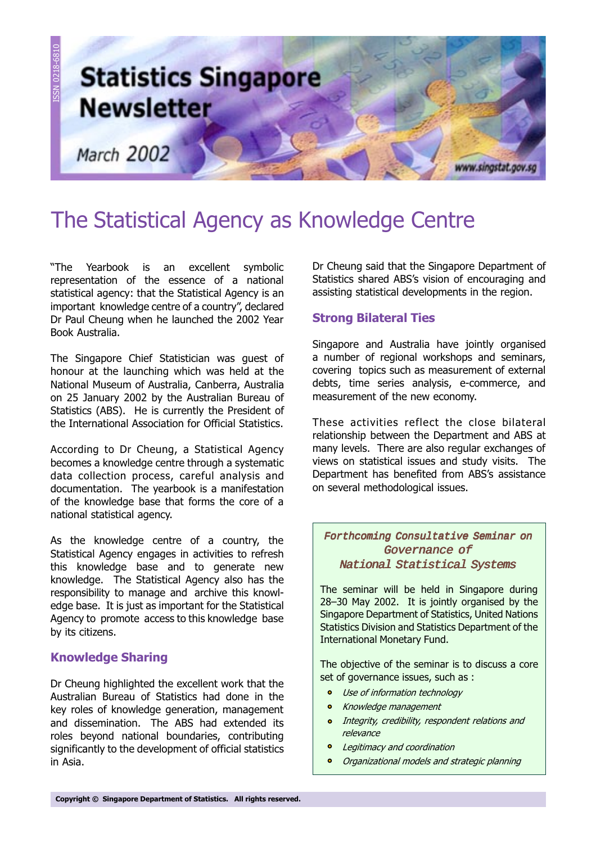

# The Statistical Agency as Knowledge Centre

The Yearbook is an excellent symbolic representation of the essence of a national statistical agency: that the Statistical Agency is an important knowledge centre of a country", declared Dr Paul Cheung when he launched the 2002 Year Book Australia.

The Singapore Chief Statistician was guest of honour at the launching which was held at the National Museum of Australia, Canberra, Australia on 25 January 2002 by the Australian Bureau of Statistics (ABS). He is currently the President of the International Association for Official Statistics.

According to Dr Cheung, a Statistical Agency becomes a knowledge centre through a systematic data collection process, careful analysis and documentation. The yearbook is a manifestation of the knowledge base that forms the core of a national statistical agency.

As the knowledge centre of a country, the Statistical Agency engages in activities to refresh this knowledge base and to generate new knowledge. The Statistical Agency also has the responsibility to manage and archive this knowledge base. It is just as important for the Statistical Agency to promote access to this knowledge base by its citizens.

# Knowledge Sharing

Dr Cheung highlighted the excellent work that the Australian Bureau of Statistics had done in the key roles of knowledge generation, management and dissemination. The ABS had extended its roles beyond national boundaries, contributing significantly to the development of official statistics in Asia.

Dr Cheung said that the Singapore Department of Statistics shared ABS's vision of encouraging and assisting statistical developments in the region.

# Strong Bilateral Ties

Singapore and Australia have jointly organised a number of regional workshops and seminars, covering topics such as measurement of external debts, time series analysis, e-commerce, and measurement of the new economy.

These activities reflect the close bilateral relationship between the Department and ABS at many levels. There are also regular exchanges of views on statistical issues and study visits. The Department has benefited from ABS's assistance on several methodological issues.

## Forthcoming Consultative Seminar on Governance of National Statistical Systems

The seminar will be held in Singapore during 28-30 May 2002. It is jointly organised by the Singapore Department of Statistics, United Nations Statistics Division and Statistics Department of the International Monetary Fund.

The objective of the seminar is to discuss a core set of governance issues, such as :

- Use of information technology
- **•** Knowledge management
- Integrity, credibility, respondent relations and  $\mathbf{a}$ relevance
- $\bullet$ Legitimacy and coordination
- Organizational models and strategic planning  $\bullet$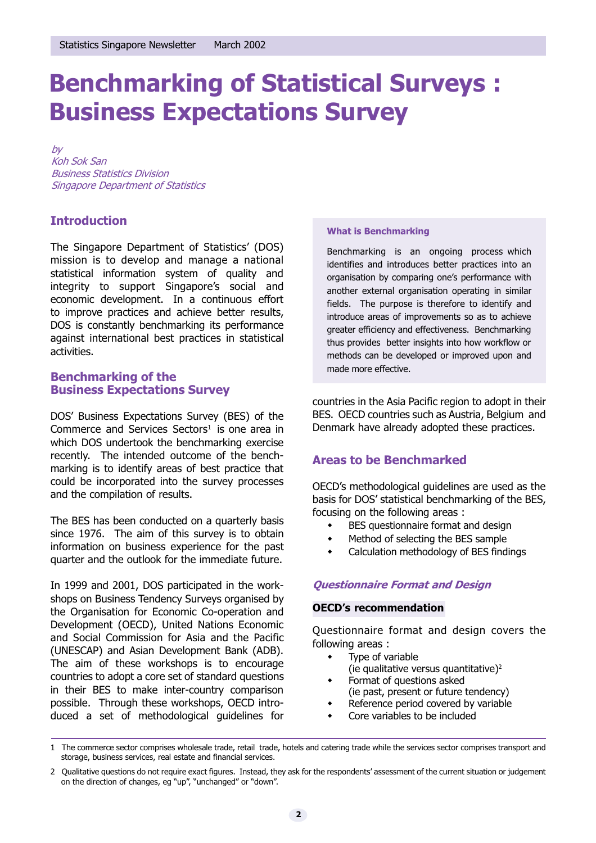# Benchmarking of Statistical Surveys : Business Expectations Survey

by Koh Sok San Business Statistics Division Singapore Department of Statistics

# **Introduction**

The Singapore Department of Statistics' (DOS) mission is to develop and manage a national statistical information system of quality and integrity to support Singapore's social and economic development. In a continuous effort to improve practices and achieve better results, DOS is constantly benchmarking its performance against international best practices in statistical activities.

# Benchmarking of the Business Expectations Survey

DOS' Business Expectations Survey (BES) of the Commerce and Services Sectors<sup>1</sup> is one area in which DOS undertook the benchmarking exercise recently. The intended outcome of the benchmarking is to identify areas of best practice that could be incorporated into the survey processes and the compilation of results.

The BES has been conducted on a quarterly basis since 1976. The aim of this survey is to obtain information on business experience for the past quarter and the outlook for the immediate future.

In 1999 and 2001, DOS participated in the workshops on Business Tendency Surveys organised by the Organisation for Economic Co-operation and Development (OECD), United Nations Economic and Social Commission for Asia and the Pacific (UNESCAP) and Asian Development Bank (ADB). The aim of these workshops is to encourage countries to adopt a core set of standard questions in their BES to make inter-country comparison possible. Through these workshops, OECD introduced a set of methodological guidelines for

#### What is Benchmarking

Benchmarking is an ongoing process which identifies and introduces better practices into an organisation by comparing one's performance with another external organisation operating in similar fields. The purpose is therefore to identify and introduce areas of improvements so as to achieve greater efficiency and effectiveness. Benchmarking thus provides better insights into how workflow or methods can be developed or improved upon and made more effective.

countries in the Asia Pacific region to adopt in their BES. OECD countries such as Austria, Belgium and Denmark have already adopted these practices.

# Areas to be Benchmarked

OECD's methodological guidelines are used as the basis for DOS' statistical benchmarking of the BES. focusing on the following areas :

- BES questionnaire format and design
- Method of selecting the BES sample
- **\*** Calculation methodology of BES findings

# Questionnaire Format and Design

# **OECD's recommendation**

Questionnaire format and design covers the following areas :

- Type of variable
- (ie qualitative versus quantitative)2
- Format of questions asked
- (ie past, present or future tendency)
- Reference period covered by variable
- Core variables to be included

<sup>1</sup> The commerce sector comprises wholesale trade, retail trade, hotels and catering trade while the services sector comprises transport and storage, business services, real estate and financial services.

<sup>2</sup> Qualitative questions do not require exact figures. Instead, they ask for the respondents' assessment of the current situation or judgement on the direction of changes, eg "up", "unchanged" or "down".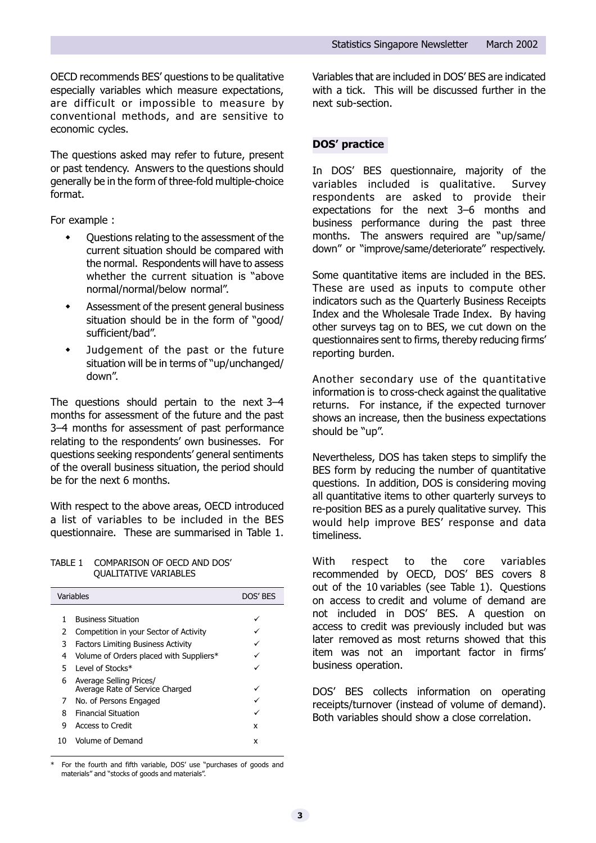OECD recommends BES' questions to be qualitative especially variables which measure expectations, are difficult or impossible to measure by conventional methods, and are sensitive to economic cycles.

The questions asked may refer to future, present or past tendency. Answers to the questions should generally be in the form of three-fold multiple-choice format.

For example :

- Questions relating to the assessment of the current situation should be compared with the normal. Respondents will have to assess whether the current situation is "above" normal/normal/below normal".
- **\*** Assessment of the present general business situation should be in the form of "good/ sufficient/bad".
- Judgement of the past or the future situation will be in terms of "up/unchanged/ down".

The questions should pertain to the next  $3-4$ months for assessment of the future and the past 3-4 months for assessment of past performance relating to the respondents' own businesses. For questions seeking respondents' general sentiments of the overall business situation, the period should be for the next 6 months.

With respect to the above areas, OECD introduced a list of variables to be included in the BES questionnaire. These are summarised in Table 1.

#### TABLE 1 COMPARISON OF OECD AND DOS' QUALITATIVE VARIABLES

|    | Variables                                                  | DOS' BES |
|----|------------------------------------------------------------|----------|
| 1  | <b>Business Situation</b>                                  |          |
|    |                                                            |          |
| 2  | Competition in your Sector of Activity                     |          |
| 3  | <b>Factors Limiting Business Activity</b>                  |          |
| 4  | Volume of Orders placed with Suppliers*                    |          |
| 5. | Level of Stocks*                                           |          |
| 6  | Average Selling Prices/<br>Average Rate of Service Charged |          |
| 7  | No. of Persons Engaged                                     |          |
| 8  | <b>Financial Situation</b>                                 |          |
| 9  | <b>Access to Credit</b>                                    | x        |
| 10 | Volume of Demand                                           | x        |

For the fourth and fifth variable, DOS' use "purchases of goods and materials" and "stocks of goods and materials".

Variables that are included in DOS' BES are indicated with a tick. This will be discussed further in the next sub-section.

# DOS' practice

In DOS' BES questionnaire, majority of the variables included is qualitative. Survey respondents are asked to provide their expectations for the next  $3-6$  months and business performance during the past three months. The answers required are "up/same/ down" or "improve/same/deteriorate" respectively.

Some quantitative items are included in the BES. These are used as inputs to compute other indicators such as the Quarterly Business Receipts Index and the Wholesale Trade Index. By having other surveys tag on to BES, we cut down on the questionnaires sent to firms, thereby reducing firms reporting burden.

Another secondary use of the quantitative information is to cross-check against the qualitative returns. For instance, if the expected turnover shows an increase, then the business expectations should be "up".

Nevertheless, DOS has taken steps to simplify the BES form by reducing the number of quantitative questions. In addition, DOS is considering moving all quantitative items to other quarterly surveys to re-position BES as a purely qualitative survey. This would help improve BES' response and data timeliness.

With respect to the core variables recommended by OECD, DOS' BES covers 8 out of the 10 variables (see Table 1). Questions on access to credit and volume of demand are not included in DOS' BES. A question on access to credit was previously included but was later removed as most returns showed that this item was not an important factor in firms business operation.

DOS' BES collects information on operating receipts/turnover (instead of volume of demand). Both variables should show a close correlation.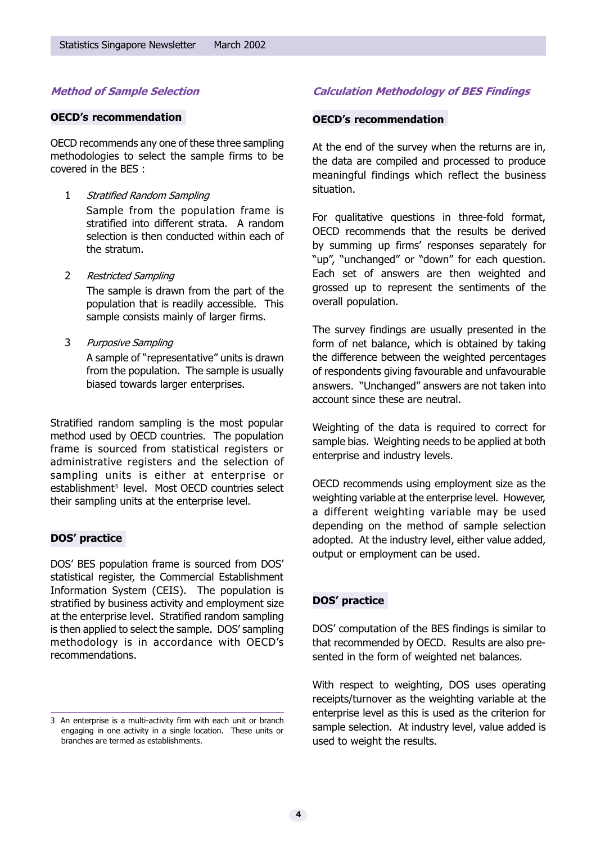# Method of Sample Selection

#### **OECD's recommendation**

OECD recommends any one of these three sampling methodologies to select the sample firms to be covered in the BES :

- 1 Stratified Random Sampling Sample from the population frame is stratified into different strata. A random selection is then conducted within each of the stratum.
- 2 Restricted Sampling

The sample is drawn from the part of the population that is readily accessible. This sample consists mainly of larger firms.

3 Purposive Sampling A sample of "representative" units is drawn

from the population. The sample is usually biased towards larger enterprises.

Stratified random sampling is the most popular method used by OECD countries. The population frame is sourced from statistical registers or administrative registers and the selection of sampling units is either at enterprise or establishment<sup>3</sup> level. Most OECD countries select their sampling units at the enterprise level.

### DOS' practice

DOS' BES population frame is sourced from DOS' statistical register, the Commercial Establishment Information System (CEIS). The population is stratified by business activity and employment size at the enterprise level. Stratified random sampling is then applied to select the sample. DOS' sampling methodology is in accordance with OECD's recommendations.

# Calculation Methodology of BES Findings

#### **OECD's recommendation**

At the end of the survey when the returns are in, the data are compiled and processed to produce meaningful findings which reflect the business situation.

For qualitative questions in three-fold format, OECD recommends that the results be derived by summing up firms' responses separately for "up", "unchanged" or "down" for each question. Each set of answers are then weighted and grossed up to represent the sentiments of the overall population.

The survey findings are usually presented in the form of net balance, which is obtained by taking the difference between the weighted percentages of respondents giving favourable and unfavourable answers. "Unchanged" answers are not taken into account since these are neutral.

Weighting of the data is required to correct for sample bias. Weighting needs to be applied at both enterprise and industry levels.

OECD recommends using employment size as the weighting variable at the enterprise level. However, a different weighting variable may be used depending on the method of sample selection adopted. At the industry level, either value added, output or employment can be used.

# DOS' practice

DOS' computation of the BES findings is similar to that recommended by OECD. Results are also presented in the form of weighted net balances.

With respect to weighting, DOS uses operating receipts/turnover as the weighting variable at the enterprise level as this is used as the criterion for sample selection. At industry level, value added is used to weight the results.

<sup>3</sup> An enterprise is a multi-activity firm with each unit or branch engaging in one activity in a single location. These units or branches are termed as establishments.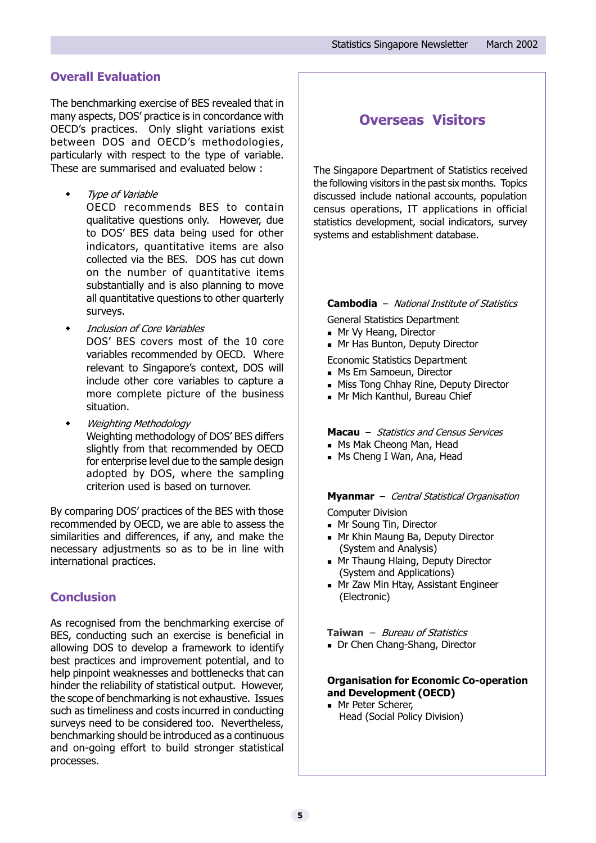# Overall Evaluation

The benchmarking exercise of BES revealed that in many aspects, DOS' practice is in concordance with OECD's practices. Only slight variations exist between DOS and OECD's methodologies, particularly with respect to the type of variable. These are summarised and evaluated below :

**Type of Variable** 

OECD recommends BES to contain qualitative questions only. However, due to DOS' BES data being used for other indicators, quantitative items are also collected via the BES. DOS has cut down on the number of quantitative items substantially and is also planning to move all quantitative questions to other quarterly surveys.

Inclusion of Core Variables DOS' BES covers most of the 10 core variables recommended by OECD. Where relevant to Singapore's context, DOS will include other core variables to capture a more complete picture of the business situation.

Weighting Methodology Weighting methodology of DOS' BES differs slightly from that recommended by OECD for enterprise level due to the sample design adopted by DOS, where the sampling criterion used is based on turnover.

By comparing DOS' practices of the BES with those recommended by OECD, we are able to assess the similarities and differences, if any, and make the necessary adjustments so as to be in line with international practices.

# **Conclusion**

As recognised from the benchmarking exercise of BES, conducting such an exercise is beneficial in allowing DOS to develop a framework to identify best practices and improvement potential, and to help pinpoint weaknesses and bottlenecks that can hinder the reliability of statistical output. However, the scope of benchmarking is not exhaustive. Issues such as timeliness and costs incurred in conducting surveys need to be considered too. Nevertheless, benchmarking should be introduced as a continuous and on-going effort to build stronger statistical processes.

# Overseas Visitors

The Singapore Department of Statistics received the following visitors in the past six months. Topics discussed include national accounts, population census operations, IT applications in official statistics development, social indicators, survey systems and establishment database.

#### **Cambodia** – National Institute of Statistics

General Statistics Department

- **n** Mr Vy Heang, Director
- **n** Mr Has Bunton, Deputy Director

Economic Statistics Department

- **n** Ms Em Samoeun, Director
- **n** Miss Tong Chhay Rine, Deputy Director
- **n** Mr Mich Kanthul, Bureau Chief

#### Macau - Statistics and Census Services

- **n** Ms Mak Cheong Man, Head
- **n** Ms Cheng I Wan, Ana, Head

#### Myanmar - Central Statistical Organisation

Computer Division

- Mr Soung Tin, Director
- **n** Mr Khin Maung Ba, Deputy Director (System and Analysis)
- **n** Mr Thaung Hlaing, Deputy Director (System and Applications)
- **n** Mr Zaw Min Htay, Assistant Engineer (Electronic)

Taiwan  $-$  Bureau of Statistics

Dr Chen Chang-Shang, Director

### Organisation for Economic Co-operation and Development (OECD)

**n** Mr Peter Scherer, Head (Social Policy Division)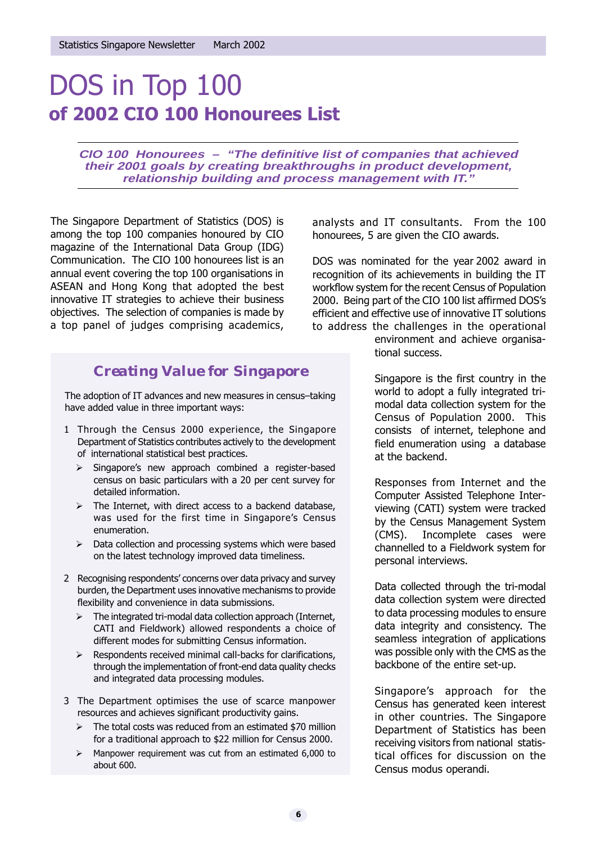# DOS in Top 100 of 2002 CIO 100 Honourees List

**CIO 100 Honourees – "The definitive list of companies that achieved their 2001 goals by creating breakthroughs in product development, relationship building and process management with IT.** 

The Singapore Department of Statistics (DOS) is among the top 100 companies honoured by CIO magazine of the International Data Group (IDG) Communication. The CIO 100 honourees list is an annual event covering the top 100 organisations in ASEAN and Hong Kong that adopted the best innovative IT strategies to achieve their business objectives. The selection of companies is made by a top panel of judges comprising academics,

# *Creating Value for Singapore*

The adoption of IT advances and new measures in census-taking have added value in three important ways:

- 1 Through the Census 2000 experience, the Singapore Department of Statistics contributes actively to the development of international statistical best practices.
	- $\triangleright$  Singapore's new approach combined a register-based census on basic particulars with a 20 per cent survey for detailed information.
	- $\triangleright$  The Internet, with direct access to a backend database, was used for the first time in Singapore's Census enumeration.
	- $\triangleright$  Data collection and processing systems which were based on the latest technology improved data timeliness.
- 2 Recognising respondents' concerns over data privacy and survey burden, the Department uses innovative mechanisms to provide flexibility and convenience in data submissions.
	- $\triangleright$  The integrated tri-modal data collection approach (Internet, CATI and Fieldwork) allowed respondents a choice of different modes for submitting Census information.
	- $\triangleright$  Respondents received minimal call-backs for clarifications, through the implementation of front-end data quality checks and integrated data processing modules.
- 3 The Department optimises the use of scarce manpower resources and achieves significant productivity gains.
	- $\triangleright$  The total costs was reduced from an estimated \$70 million for a traditional approach to \$22 million for Census 2000.
	- $\triangleright$  Manpower requirement was cut from an estimated 6,000 to about 600.

analysts and IT consultants. From the 100 honourees, 5 are given the CIO awards.

DOS was nominated for the year 2002 award in recognition of its achievements in building the IT workflow system for the recent Census of Population 2000. Being part of the CIO 100 list affirmed DOS's efficient and effective use of innovative IT solutions to address the challenges in the operational

environment and achieve organisational success.

Singapore is the first country in the world to adopt a fully integrated trimodal data collection system for the Census of Population 2000. This consists of internet, telephone and field enumeration using a database at the backend.

Responses from Internet and the Computer Assisted Telephone Interviewing (CATI) system were tracked by the Census Management System (CMS). Incomplete cases were channelled to a Fieldwork system for personal interviews.

Data collected through the tri-modal data collection system were directed to data processing modules to ensure data integrity and consistency. The seamless integration of applications was possible only with the CMS as the backbone of the entire set-up.

Singapore's approach for the Census has generated keen interest in other countries. The Singapore Department of Statistics has been receiving visitors from national statistical offices for discussion on the Census modus operandi.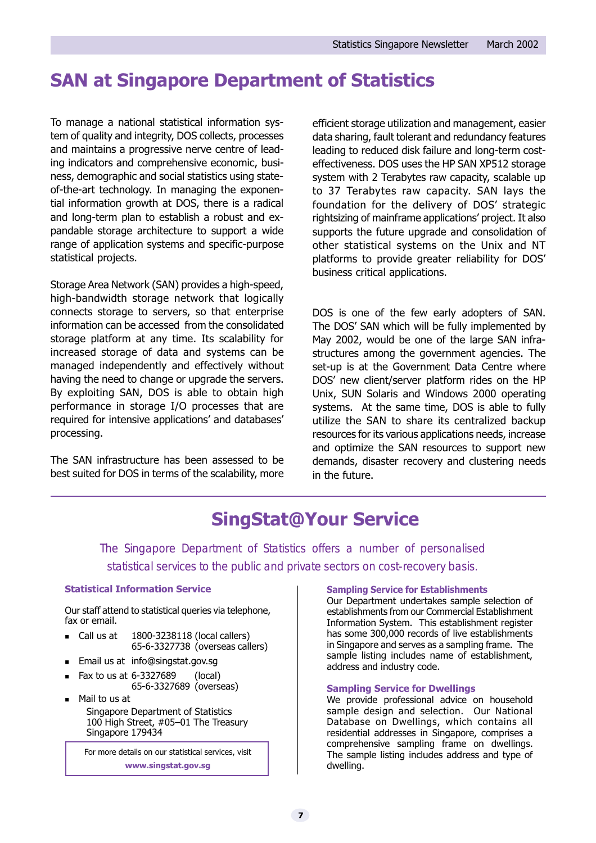# SAN at Singapore Department of Statistics

To manage a national statistical information system of quality and integrity, DOS collects, processes and maintains a progressive nerve centre of leading indicators and comprehensive economic, business, demographic and social statistics using stateof-the-art technology. In managing the exponential information growth at DOS, there is a radical and long-term plan to establish a robust and expandable storage architecture to support a wide range of application systems and specific-purpose statistical projects.

Storage Area Network (SAN) provides a high-speed, high-bandwidth storage network that logically connects storage to servers, so that enterprise information can be accessed from the consolidated storage platform at any time. Its scalability for increased storage of data and systems can be managed independently and effectively without having the need to change or upgrade the servers. By exploiting SAN, DOS is able to obtain high performance in storage I/O processes that are required for intensive applications' and databases' processing.

The SAN infrastructure has been assessed to be best suited for DOS in terms of the scalability, more efficient storage utilization and management, easier data sharing, fault tolerant and redundancy features leading to reduced disk failure and long-term costeffectiveness. DOS uses the HP SAN XP512 storage system with 2 Terabytes raw capacity, scalable up to 37 Terabytes raw capacity. SAN lays the foundation for the delivery of DOS' strategic rightsizing of mainframe applications' project. It also supports the future upgrade and consolidation of other statistical systems on the Unix and NT platforms to provide greater reliability for DOS business critical applications.

DOS is one of the few early adopters of SAN. The DOS' SAN which will be fully implemented by May 2002, would be one of the large SAN infrastructures among the government agencies. The set-up is at the Government Data Centre where DOS' new client/server platform rides on the HP Unix, SUN Solaris and Windows 2000 operating systems. At the same time, DOS is able to fully utilize the SAN to share its centralized backup resources for its various applications needs, increase and optimize the SAN resources to support new demands, disaster recovery and clustering needs in the future.

# SingStat@Your Service

The Singapore Department of Statistics offers a number of personalised statistical services to the public and private sectors on cost-recovery basis.

### Statistical Information Service

Our staff attend to statistical queries via telephone, fax or email.

- Call us at  $1800-3238118$  (local callers) 65-6-3327738 (overseas callers)
- Email us at info@singstat.gov.sg
- <sup>n</sup> Fax to us at 6-3327689 (local)
- 65-6-3327689 (overseas) Mail to us at Singapore Department of Statistics 100 High Street, #05-01 The Treasury Singapore 179434

For more details on our statistical services, visit www.singstat.gov.sg

#### Sampling Service for Establishments

Our Department undertakes sample selection of establishments from our Commercial Establishment Information System. This establishment register has some 300,000 records of live establishments in Singapore and serves as a sampling frame. The sample listing includes name of establishment, address and industry code.

#### Sampling Service for Dwellings

We provide professional advice on household sample design and selection. Our National Database on Dwellings, which contains all residential addresses in Singapore, comprises a comprehensive sampling frame on dwellings. The sample listing includes address and type of dwelling.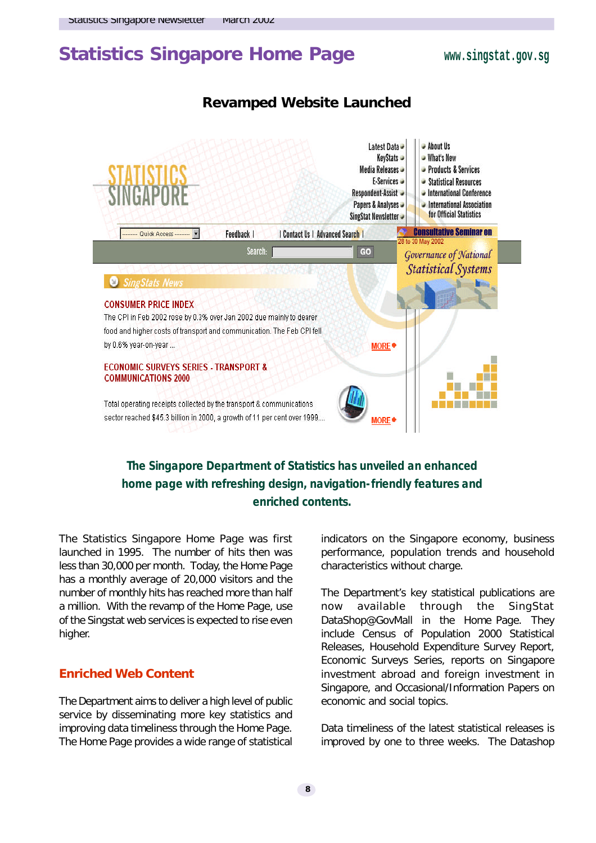# Statistics Singapore Home Page **www.singstat.gov.sg**

# *Revamped Website Launched*



# **The Singapore Department of Statistics has unveiled an enhanced home page with refreshing design, navigation-friendly features and enriched contents.**

The Statistics Singapore Home Page was first launched in 1995. The number of hits then was less than 30,000 per month. Today, the Home Page has a monthly average of 20,000 visitors and the number of monthly hits has reached more than half a million. With the revamp of the Home Page, use of the Singstat web services is expected to rise even higher.

# **Enriched Web Content**

The Department aims to deliver a high level of public service by disseminating more key statistics and improving data timeliness through the Home Page. The Home Page provides a wide range of statistical

indicators on the Singapore economy, business performance, population trends and household characteristics without charge.

The Department's key statistical publications are now available through the SingStat DataShop@GovMall in the Home Page. They include Census of Population 2000 Statistical Releases, Household Expenditure Survey Report, Economic Surveys Series, reports on Singapore investment abroad and foreign investment in Singapore, and Occasional/Information Papers on economic and social topics.

Data timeliness of the latest statistical releases is improved by one to three weeks. The Datashop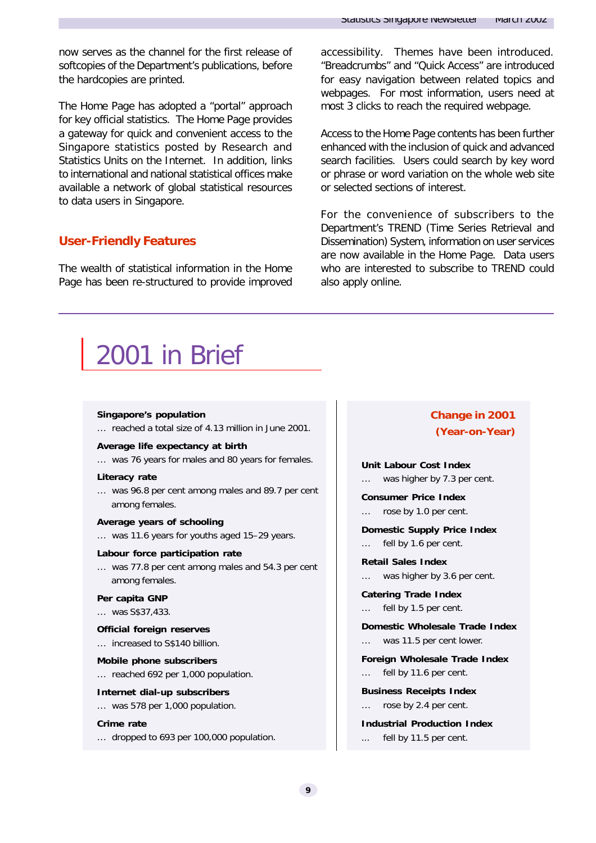now serves as the channel for the first release of softcopies of the Department's publications, before the hardcopies are printed.

The Home Page has adopted a "portal" approach for key official statistics. The Home Page provides a gateway for quick and convenient access to the Singapore statistics posted by Research and Statistics Units on the Internet. In addition, links to international and national statistical offices make available a network of global statistical resources to data users in Singapore.

# **User-Friendly Features**

The wealth of statistical information in the Home Page has been re-structured to provide improved accessibility. Themes have been introduced. "Breadcrumbs" and "Quick Access" are introduced for easy navigation between related topics and webpages. For most information, users need at most 3 clicks to reach the required webpage.

Access to the Home Page contents has been further enhanced with the inclusion of quick and advanced search facilities. Users could search by key word or phrase or word variation on the whole web site or selected sections of interest.

For the convenience of subscribers to the Department's TREND (Time Series Retrieval and Dissemination) System, information on user services are now available in the Home Page. Data users who are interested to subscribe to TREND could also apply online.

# 2001 in Brief

#### **Singapore's population**

… reached a total size of 4.13 million in June 2001.

#### **Average life expectancy at birth**

… was 76 years for males and 80 years for females.

#### **Literacy rate**

… was 96.8 per cent among males and 89.7 per cent among females.

#### **Average years of schooling**

… was 11.6 years for youths aged 15–29 years.

#### **Labour force participation rate**

… was 77.8 per cent among males and 54.3 per cent among females.

#### **Per capita GNP**

… was S\$37,433.

#### **Official foreign reserves**

… increased to S\$140 billion.

#### **Mobile phone subscribers**

… reached 692 per 1,000 population.

#### **Internet dial-up subscribers**

… was 578 per 1,000 population.

#### **Crime rate**

… dropped to 693 per 100,000 population.

# *Change in 2001 (Year-on-Year)*

**Unit Labour Cost Index**

… was higher by 7.3 per cent.

**Consumer Price Index** … rose by 1.0 per cent.

**Domestic Supply Price Index** … fell by 1.6 per cent.

**Retail Sales Index**

… was higher by 3.6 per cent.

**Catering Trade Index**

… fell by 1.5 per cent.

**Domestic Wholesale Trade Index** was 11.5 per cent lower.

**Foreign Wholesale Trade Index**

fell by 11.6 per cent.

**Business Receipts Index**

… rose by 2.4 per cent.

**Industrial Production Index**

fell by 11.5 per cent.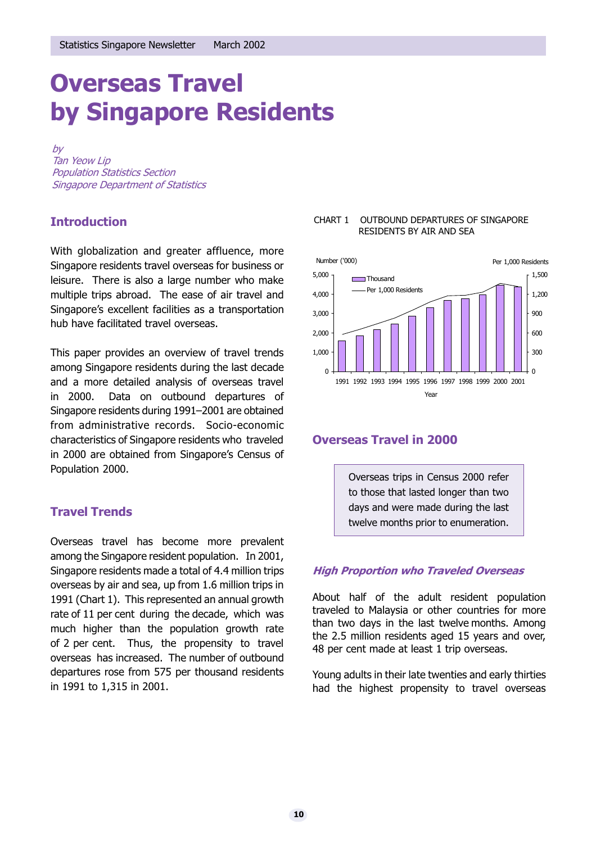# Overseas Travel by Singapore Residents

by Tan Yeow Lip Population Statistics Section Singapore Department of Statistics

# **Introduction**

With globalization and greater affluence, more Singapore residents travel overseas for business or leisure. There is also a large number who make multiple trips abroad. The ease of air travel and Singapore's excellent facilities as a transportation hub have facilitated travel overseas.

This paper provides an overview of travel trends among Singapore residents during the last decade and a more detailed analysis of overseas travel in 2000. Data on outbound departures of Singapore residents during 1991-2001 are obtained from administrative records. Socio-economic characteristics of Singapore residents who traveled in 2000 are obtained from Singapore's Census of Population 2000.

# Travel Trends

Overseas travel has become more prevalent among the Singapore resident population. In 2001, Singapore residents made a total of 4.4 million trips overseas by air and sea, up from 1.6 million trips in 1991 (Chart 1). This represented an annual growth rate of 11 per cent during the decade, which was much higher than the population growth rate of 2 per cent. Thus, the propensity to travel overseas has increased. The number of outbound departures rose from 575 per thousand residents in 1991 to 1,315 in 2001.

#### CHART 1 OUTBOUND DEPARTURES OF SINGAPORE RESIDENTS BY AIR AND SEA



# Overseas Travel in 2000

Overseas trips in Census 2000 refer to those that lasted longer than two days and were made during the last twelve months prior to enumeration.

# High Proportion who Traveled Overseas

About half of the adult resident population traveled to Malaysia or other countries for more than two days in the last twelve months. Among the 2.5 million residents aged 15 years and over, 48 per cent made at least 1 trip overseas.

Young adults in their late twenties and early thirties had the highest propensity to travel overseas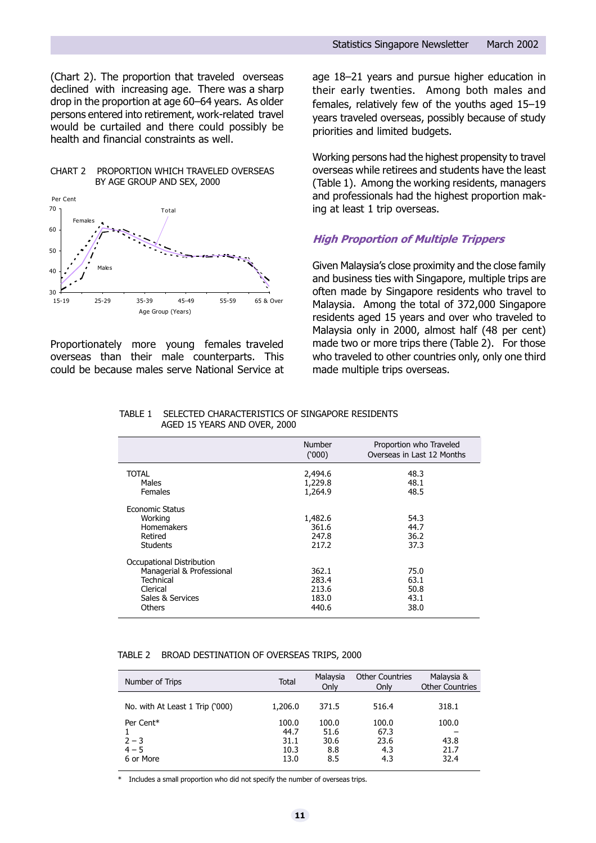(Chart 2). The proportion that traveled overseas declined with increasing age. There was a sharp drop in the proportion at age 60-64 years. As older persons entered into retirement, work-related travel would be curtailed and there could possibly be health and financial constraints as well.



Proportionately more young females traveled overseas than their male counterparts. This could be because males serve National Service at age 18-21 years and pursue higher education in their early twenties. Among both males and females, relatively few of the youths aged  $15-19$ years traveled overseas, possibly because of study priorities and limited budgets.

Working persons had the highest propensity to travel overseas while retirees and students have the least (Table 1). Among the working residents, managers and professionals had the highest proportion making at least 1 trip overseas.

## High Proportion of Multiple Trippers

Given Malaysia's close proximity and the close family and business ties with Singapore, multiple trips are often made by Singapore residents who travel to Malaysia. Among the total of 372,000 Singapore residents aged 15 years and over who traveled to Malaysia only in 2000, almost half (48 per cent) made two or more trips there (Table 2). For those who traveled to other countries only, only one third made multiple trips overseas.

#### TABLE 1 SELECTED CHARACTERISTICS OF SINGAPORE RESIDENTS AGED 15 YEARS AND OVER, 2000

|                                                                                                               | Number<br>(000)                           | Proportion who Traveled<br>Overseas in Last 12 Months |
|---------------------------------------------------------------------------------------------------------------|-------------------------------------------|-------------------------------------------------------|
| <b>TOTAL</b><br>Males<br><b>Females</b>                                                                       | 2,494.6<br>1,229.8<br>1,264.9             | 48.3<br>48.1<br>48.5                                  |
| <b>Economic Status</b><br>Working<br><b>Homemakers</b><br>Retired<br><b>Students</b>                          | 1,482.6<br>361.6<br>247.8<br>217.2        | 54.3<br>44.7<br>36.2<br>37.3                          |
| Occupational Distribution<br>Managerial & Professional<br>Technical<br>Clerical<br>Sales & Services<br>Others | 362.1<br>283.4<br>213.6<br>183.0<br>440.6 | 75.0<br>63.1<br>50.8<br>43.1<br>38.0                  |

#### TABLE 2 BROAD DESTINATION OF OVERSEAS TRIPS, 2000

| Number of Trips                 | <b>Total</b> | Malaysia<br>Only | <b>Other Countries</b><br>Only | Malaysia &<br><b>Other Countries</b> |
|---------------------------------|--------------|------------------|--------------------------------|--------------------------------------|
|                                 |              |                  |                                |                                      |
| No. with At Least 1 Trip ('000) | 1,206.0      | 371.5            | 516.4                          | 318.1                                |
|                                 |              |                  |                                |                                      |
| Per Cent*                       | 100.0        | 100.0            | 100.0                          | 100.0                                |
|                                 | 44.7         | 51.6             | 67.3                           |                                      |
| $2 - 3$                         | 31.1         | 30.6             | 23.6                           | 43.8                                 |
| $4 - 5$                         | 10.3         | 8.8              | 4.3                            | 21.7                                 |
| 6 or More                       | 13.0         | 8.5              | 4.3                            | 32.4                                 |
|                                 |              |                  |                                |                                      |

Includes a small proportion who did not specify the number of overseas trips.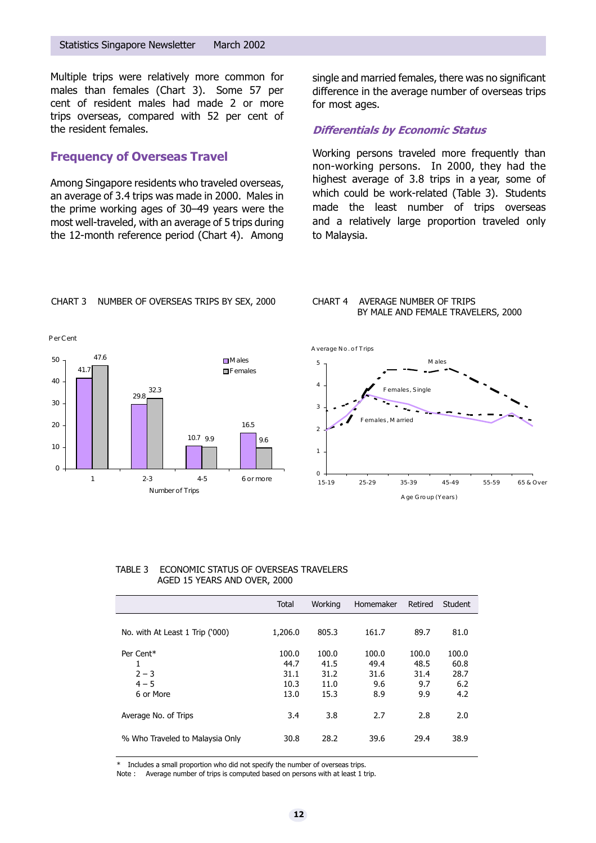Multiple trips were relatively more common for males than females (Chart 3). Some 57 per cent of resident males had made 2 or more trips overseas, compared with 52 per cent of the resident females.

## Frequency of Overseas Travel

Among Singapore residents who traveled overseas, an average of 3.4 trips was made in 2000. Males in the prime working ages of 30-49 years were the most well-traveled, with an average of 5 trips during the 12-month reference period (Chart 4). Among

single and married females, there was no significant difference in the average number of overseas trips for most ages.

## Differentials by Economic Status

Working persons traveled more frequently than non-working persons. In 2000, they had the highest average of 3.8 trips in a year, some of which could be work-related (Table 3). Students made the least number of trips overseas and a relatively large proportion traveled only to Malaysia.



#### CHART 3 NUMBER OF OVERSEAS TRIPS BY SEX, 2000

#### CHART 4 AVERAGE NUMBER OF TRIPS BY MALE AND FEMALE TRAVELERS, 2000



#### TABLE 3 ECONOMIC STATUS OF OVERSEAS TRAVELERS AGED 15 YEARS AND OVER, 2000

|                                                   | Total                                 | Working                               | Homemaker                           | Retired                             | Student                             |
|---------------------------------------------------|---------------------------------------|---------------------------------------|-------------------------------------|-------------------------------------|-------------------------------------|
| No. with At Least 1 Trip ('000)                   | 1,206.0                               | 805.3                                 | 161.7                               | 89.7                                | 81.0                                |
| Per Cent*<br>1<br>$2 - 3$<br>$4 - 5$<br>6 or More | 100.0<br>44.7<br>31.1<br>10.3<br>13.0 | 100.0<br>41.5<br>31.2<br>11.0<br>15.3 | 100.0<br>49.4<br>31.6<br>9.6<br>8.9 | 100.0<br>48.5<br>31.4<br>9.7<br>9.9 | 100.0<br>60.8<br>28.7<br>6.2<br>4.2 |
| Average No. of Trips                              | 3.4                                   | 3.8                                   | 2.7                                 | 2.8                                 | 2.0                                 |
| % Who Traveled to Malaysia Only                   | 30.8                                  | 28.2                                  | 39.6                                | 29.4                                | 38.9                                |

Includes a small proportion who did not specify the number of overseas trips.

Note : Average number of trips is computed based on persons with at least 1 trip.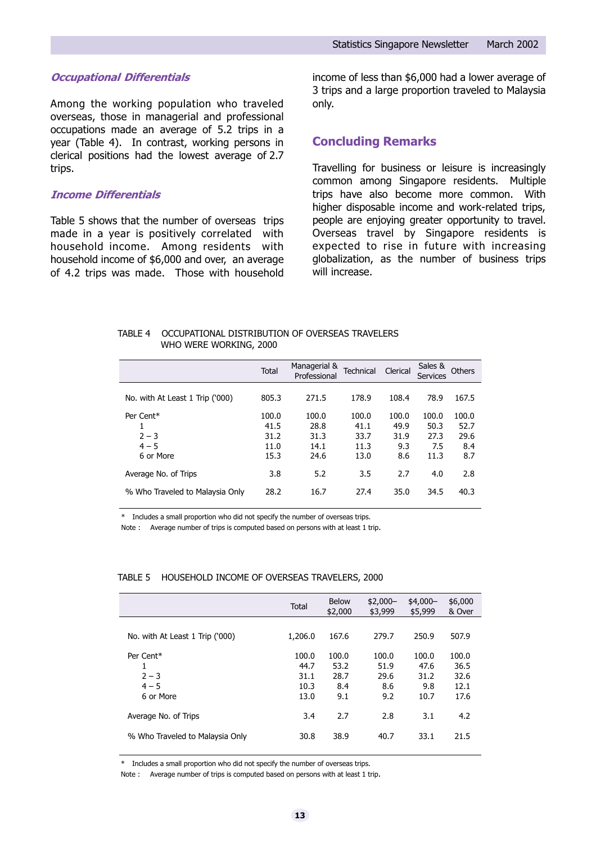#### Occupational Differentials

Among the working population who traveled overseas, those in managerial and professional occupations made an average of 5.2 trips in a year (Table 4). In contrast, working persons in clerical positions had the lowest average of 2.7 trips.

#### Income Differentials

Table 5 shows that the number of overseas trips made in a year is positively correlated with household income. Among residents with household income of \$6,000 and over, an average of 4.2 trips was made. Those with household income of less than \$6,000 had a lower average of 3 trips and a large proportion traveled to Malaysia only.

### Concluding Remarks

Travelling for business or leisure is increasingly common among Singapore residents. Multiple trips have also become more common. With higher disposable income and work-related trips, people are enjoying greater opportunity to travel. Overseas travel by Singapore residents is expected to rise in future with increasing globalization, as the number of business trips will increase.

#### TABLE 4 OCCUPATIONAL DISTRIBUTION OF OVERSEAS TRAVELERS WHO WERE WORKING, 2000

|                                              | <b>Total</b>                          | Managerial &<br>Professional          | Technical                             | Clerical                            | Sales &<br><b>Services</b>           | Others                              |
|----------------------------------------------|---------------------------------------|---------------------------------------|---------------------------------------|-------------------------------------|--------------------------------------|-------------------------------------|
| No. with At Least 1 Trip ('000)              | 805.3                                 | 271.5                                 | 178.9                                 | 108.4                               | 78.9                                 | 167.5                               |
| Per Cent*<br>$2 - 3$<br>$4 - 5$<br>6 or More | 100.0<br>41.5<br>31.2<br>11.0<br>15.3 | 100.0<br>28.8<br>31.3<br>14.1<br>24.6 | 100.0<br>41.1<br>33.7<br>11.3<br>13.0 | 100.0<br>49.9<br>31.9<br>9.3<br>8.6 | 100.0<br>50.3<br>27.3<br>7.5<br>11.3 | 100.0<br>52.7<br>29.6<br>8.4<br>8.7 |
| Average No. of Trips                         | 3.8                                   | 5.2                                   | 3.5                                   | 2.7                                 | 4.0                                  | 2.8                                 |
| % Who Traveled to Malaysia Only              | 28.2                                  | 16.7                                  | 27.4                                  | 35.0                                | 34.5                                 | 40.3                                |

\* Includes a small proportion who did not specify the number of overseas trips.

Note : Average number of trips is computed based on persons with at least 1 trip.

#### TABLE 5 HOUSEHOLD INCOME OF OVERSEAS TRAVELERS, 2000

|                                 | Total   | <b>Below</b><br>\$2,000 | $$2,000-$<br>\$3,999 | $$4,000-$<br>\$5,999 | \$6,000<br>& Over |  |
|---------------------------------|---------|-------------------------|----------------------|----------------------|-------------------|--|
|                                 |         |                         |                      |                      |                   |  |
| No. with At Least 1 Trip ('000) | 1,206.0 | 167.6                   | 279.7                | 250.9                | 507.9             |  |
| Per Cent <sup>*</sup>           | 100.0   | 100.0                   | 100.0                | 100.0                | 100.0             |  |
| 1                               | 44.7    | 53.2                    | 51.9                 | 47.6                 | 36.5              |  |
| $2 - 3$                         | 31.1    | 28.7                    | 29.6                 | 31.2                 | 32.6              |  |
| $4 - 5$                         | 10.3    | 8.4                     | 8.6                  | 9.8                  | 12.1              |  |
| 6 or More                       | 13.0    | 9.1                     | 9.2                  | 10.7                 | 17.6              |  |
| Average No. of Trips            | 3.4     | 2.7                     | 2.8                  | 3.1                  | 4.2               |  |
| % Who Traveled to Malaysia Only | 30.8    | 38.9                    | 40.7                 | 33.1                 | 21.5              |  |
|                                 |         |                         |                      |                      |                   |  |

\* Includes a small proportion who did not specify the number of overseas trips.

Note : Average number of trips is computed based on persons with at least 1 trip.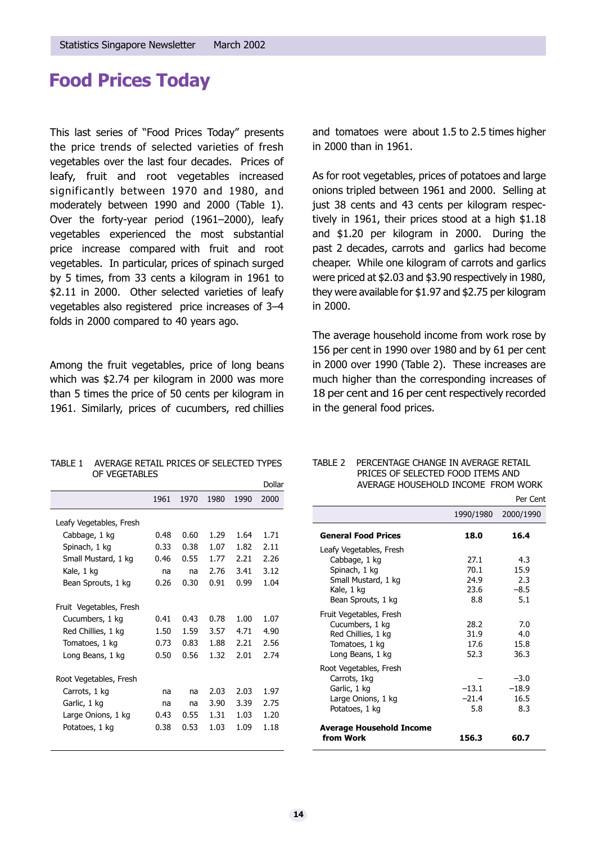# Food Prices Today

This last series of "Food Prices Today" presents the price trends of selected varieties of fresh vegetables over the last four decades. Prices of leafy, fruit and root vegetables increased significantly between 1970 and 1980, and moderately between 1990 and 2000 (Table 1). Over the forty-year period (1961-2000), leafy vegetables experienced the most substantial price increase compared with fruit and root vegetables. In particular, prices of spinach surged by 5 times, from 33 cents a kilogram in 1961 to \$2.11 in 2000. Other selected varieties of leafy vegetables also registered price increases of 3-4 folds in 2000 compared to 40 years ago.

Among the fruit vegetables, price of long beans which was \$2.74 per kilogram in 2000 was more than 5 times the price of 50 cents per kilogram in 1961. Similarly, prices of cucumbers, red chillies

and tomatoes were about 1.5 to 2.5 times higher in 2000 than in 1961.

As for root vegetables, prices of potatoes and large onions tripled between 1961 and 2000. Selling at just 38 cents and 43 cents per kilogram respectively in 1961, their prices stood at a high \$1.18 and \$1.20 per kilogram in 2000. During the past 2 decades, carrots and garlics had become cheaper. While one kilogram of carrots and garlics were priced at \$2.03 and \$3.90 respectively in 1980, they were available for \$1.97 and \$2.75 per kilogram in 2000.

The average household income from work rose by 156 per cent in 1990 over 1980 and by 61 per cent in 2000 over 1990 (Table 2). These increases are much higher than the corresponding increases of 18 per cent and 16 per cent respectively recorded in the general food prices.

| OF VEGETABLES           |               |                          |                |                      |        |
|-------------------------|---------------|--------------------------|----------------|----------------------|--------|
|                         |               |                          |                |                      | Dollar |
|                         |               | 1961 1970 1980 1990 2000 |                |                      |        |
| Leafy Vegetables, Fresh | $\sim$ $\sim$ | $\sim$ $\sim$ $\sim$     | $\overline{a}$ | $\sim$ $\sim$ $\sim$ |        |

TABLE 1 AVERAGE RETAIL PRICES OF SELECTED TYPES

|                         | 1961 | 1970 | 1980 | 1990 | ZUUU |
|-------------------------|------|------|------|------|------|
| Leafy Vegetables, Fresh |      |      |      |      |      |
| Cabbage, 1 kg           | 0.48 | 0.60 | 1.29 | 1.64 | 1.71 |
| Spinach, 1 kg           | 0.33 | 0.38 | 1.07 | 1.82 | 2.11 |
| Small Mustard, 1 kg     | 0.46 | 0.55 | 1.77 | 2.21 | 2.26 |
| Kale, 1 kg              | na   | na   | 2.76 | 3.41 | 3.12 |
| Bean Sprouts, 1 kg      | 0.26 | 0.30 | 0.91 | 0.99 | 1.04 |
|                         |      |      |      |      |      |
| Fruit Vegetables, Fresh |      |      |      |      |      |
| Cucumbers, 1 kg         | 0.41 | 0.43 | 0.78 | 1.00 | 1.07 |
| Red Chillies, 1 kg      | 1.50 | 1.59 | 3.57 | 4.71 | 4.90 |
| Tomatoes, 1 kg          | 0.73 | 0.83 | 1.88 | 2.21 | 2.56 |
| Long Beans, 1 kg        | 0.50 | 0.56 | 1.32 | 2.01 | 2.74 |
|                         |      |      |      |      |      |
| Root Vegetables, Fresh  |      |      |      |      |      |
| Carrots, 1 kg           | na   | na   | 2.03 | 2.03 | 1.97 |
| Garlic, 1 kg            | na   | na   | 3.90 | 3.39 | 2.75 |
| Large Onions, 1 kg      | 0.43 | 0.55 | 1.31 | 1.03 | 1.20 |
| Potatoes, 1 kg          | 0.38 | 0.53 | 1.03 | 1.09 | 1.18 |
|                         |      |      |      |      |      |

#### TABLE 2 PERCENTAGE CHANGE IN AVERAGE RETAIL PRICES OF SELECTED FOOD ITEMS AND AVERAGE HOUSEHOLD INCOME FROM WORK

|                                                                                                                      |                                     | Per Cent                            |
|----------------------------------------------------------------------------------------------------------------------|-------------------------------------|-------------------------------------|
|                                                                                                                      | 1990/1980                           | 2000/1990                           |
| <b>General Food Prices</b>                                                                                           | 18.0                                | 16.4                                |
| Leafy Vegetables, Fresh<br>Cabbage, 1 kg<br>Spinach, 1 kg<br>Small Mustard, 1 kg<br>Kale, 1 kg<br>Bean Sprouts, 1 kg | 27.1<br>70.1<br>24.9<br>23.6<br>8.8 | 4.3<br>15.9<br>2.3<br>$-8.5$<br>5.1 |
| Fruit Vegetables, Fresh<br>Cucumbers, 1 kg<br>Red Chillies, 1 kg<br>Tomatoes, 1 kg<br>Long Beans, 1 kg               | 28.2<br>31.9<br>17.6<br>52.3        | 7.0<br>4.0<br>15.8<br>36.3          |
| Root Vegetables, Fresh<br>Carrots, 1kg<br>Garlic, 1 kg<br>Large Onions, 1 kg<br>Potatoes, 1 kg                       | $-13.1$<br>$-21.4$<br>5.8           | $-3.0$<br>$-18.9$<br>16.5<br>8.3    |
| <b>Average Household Income</b><br>from Work                                                                         | 156.3                               | 60.7                                |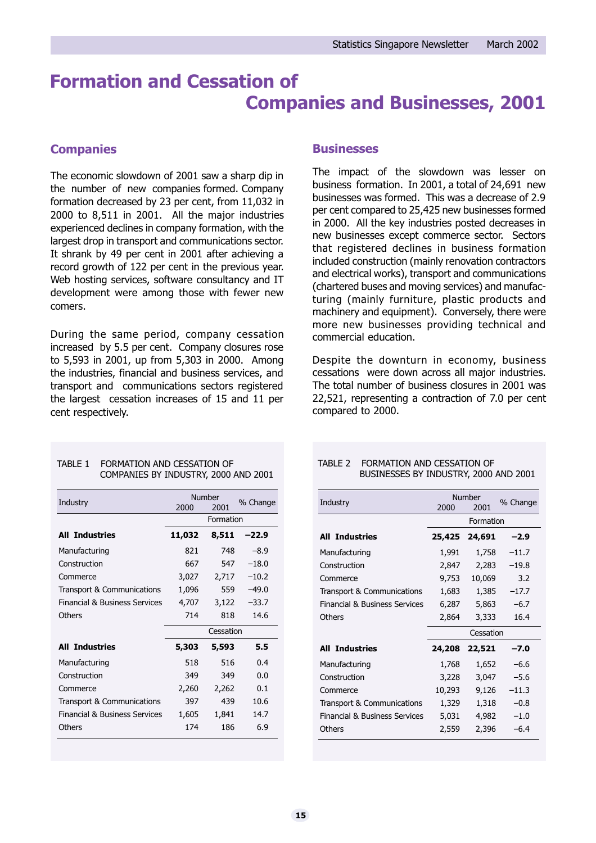# Formation and Cessation of Companies and Businesses, 2001

# **Companies**

The economic slowdown of 2001 saw a sharp dip in the number of new companies formed. Company formation decreased by 23 per cent, from 11,032 in 2000 to 8,511 in 2001. All the major industries experienced declines in company formation, with the largest drop in transport and communications sector. It shrank by 49 per cent in 2001 after achieving a record growth of 122 per cent in the previous year. Web hosting services, software consultancy and IT development were among those with fewer new comers.

During the same period, company cessation increased by 5.5 per cent. Company closures rose to 5,593 in 2001, up from 5,303 in 2000. Among the industries, financial and business services, and transport and communications sectors registered the largest cessation increases of 15 and 11 per cent respectively.

### **Businesses**

The impact of the slowdown was lesser on business formation. In 2001, a total of 24,691 new businesses was formed. This was a decrease of 2.9 per cent compared to 25,425 new businesses formed in 2000. All the key industries posted decreases in new businesses except commerce sector. Sectors that registered declines in business formation included construction (mainly renovation contractors and electrical works), transport and communications (chartered buses and moving services) and manufacturing (mainly furniture, plastic products and machinery and equipment). Conversely, there were more new businesses providing technical and commercial education.

Despite the downturn in economy, business cessations were down across all major industries. The total number of business closures in 2001 was 22,521, representing a contraction of 7.0 per cent compared to 2000.

#### TABLE 1 FORMATION AND CESSATION OF COMPANIES BY INDUSTRY, 2000 AND 2001

| Industry                                 | 2000      | Number<br>2001 | % Change |
|------------------------------------------|-----------|----------------|----------|
|                                          |           | Formation      |          |
| <b>All Industries</b>                    | 11,032    | 8,511          | -22.9    |
| Manufacturing                            | 821       | 748            | $-8.9$   |
| Construction                             | 667       | 547            | $-18.0$  |
| Commerce                                 | 3,027     | 2,717          | $-10.2$  |
| Transport & Communications               | 1,096     | 559            | $-49.0$  |
| <b>Financial &amp; Business Services</b> | 4,707     | 3,122          | $-33.7$  |
| <b>Others</b>                            | 714       | 818            | 14.6     |
|                                          | Cessation |                |          |
| <b>All Industries</b>                    | 5,303     | 5,593          | 5.5      |
| Manufacturing                            | 518       | 516            | 0.4      |
| Construction                             | 349       | 349            | 0.0      |
| Commerce                                 | 2,260     | 2,262          | 0.1      |
| Transport & Communications               | 397       | 439            | 10.6     |
| <b>Financial &amp; Business Services</b> | 1,605     | 1,841          | 14.7     |
| <b>Others</b>                            | 174       | 186            | 6.9      |

#### TABLE 2 FORMATION AND CESSATION OF BUSINESSES BY INDUSTRY, 2000 AND 2001

| Industry                                 | 2000   | Number<br>2001 | % Change |
|------------------------------------------|--------|----------------|----------|
|                                          |        | Formation      |          |
| <b>All Industries</b>                    | 25,425 | 24,691         | $-2.9$   |
| Manufacturing                            | 1,991  | 1,758          | $-11.7$  |
| Construction                             | 2,847  | 2,283          | $-19.8$  |
| Commerce                                 | 9,753  | 10,069         | 3.2      |
| Transport & Communications               | 1,683  | 1,385          | $-17.7$  |
| <b>Financial &amp; Business Services</b> | 6,287  | 5,863          | $-6.7$   |
| <b>Others</b>                            | 2,864  | 3,333          | 16.4     |
|                                          |        | Cessation      |          |
| <b>All Industries</b>                    | 24,208 | 22,521         | -7.0     |
| Manufacturing                            | 1,768  | 1,652          | $-6.6$   |
| Construction                             | 3,228  | 3,047          | $-5.6$   |
| Commerce                                 | 10,293 | 9,126          | $-11.3$  |
| Transport & Communications               | 1,329  | 1,318          | $-0.8$   |
| <b>Financial &amp; Business Services</b> | 5,031  | 4,982          | $-1.0$   |
| <b>Others</b>                            | 2,559  | 2,396          | $-6.4$   |